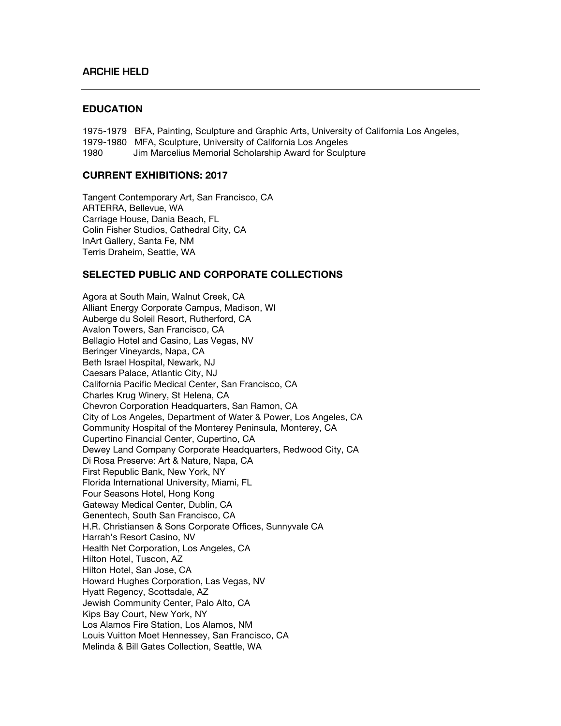## **EDUCATION**

1975-1979 BFA, Painting, Sculpture and Graphic Arts, University of California Los Angeles, 1979-1980 MFA, Sculpture, University of California Los Angeles 1980 Jim Marcelius Memorial Scholarship Award for Sculpture

## **CURRENT EXHIBITIONS: 2017**

Tangent Contemporary Art, San Francisco, CA ARTERRA, Bellevue, WA Carriage House, Dania Beach, FL Colin Fisher Studios, Cathedral City, CA InArt Gallery, Santa Fe, NM Terris Draheim, Seattle, WA

## **SELECTED PUBLIC AND CORPORATE COLLECTIONS**

Agora at South Main, Walnut Creek, CA Alliant Energy Corporate Campus, Madison, WI Auberge du Soleil Resort, Rutherford, CA Avalon Towers, San Francisco, CA Bellagio Hotel and Casino, Las Vegas, NV Beringer Vineyards, Napa, CA Beth Israel Hospital, Newark, NJ Caesars Palace, Atlantic City, NJ California Pacific Medical Center, San Francisco, CA Charles Krug Winery, St Helena, CA Chevron Corporation Headquarters, San Ramon, CA City of Los Angeles, Department of Water & Power, Los Angeles, CA Community Hospital of the Monterey Peninsula, Monterey, CA Cupertino Financial Center, Cupertino, CA Dewey Land Company Corporate Headquarters, Redwood City, CA Di Rosa Preserve: Art & Nature, Napa, CA First Republic Bank, New York, NY Florida International University, Miami, FL Four Seasons Hotel, Hong Kong Gateway Medical Center, Dublin, CA Genentech, South San Francisco, CA H.R. Christiansen & Sons Corporate Offices, Sunnyvale CA Harrah's Resort Casino, NV Health Net Corporation, Los Angeles, CA Hilton Hotel, Tuscon, AZ Hilton Hotel, San Jose, CA Howard Hughes Corporation, Las Vegas, NV Hyatt Regency, Scottsdale, AZ Jewish Community Center, Palo Alto, CA Kips Bay Court, New York, NY Los Alamos Fire Station, Los Alamos, NM Louis Vuitton Moet Hennessey, San Francisco, CA Melinda & Bill Gates Collection, Seattle, WA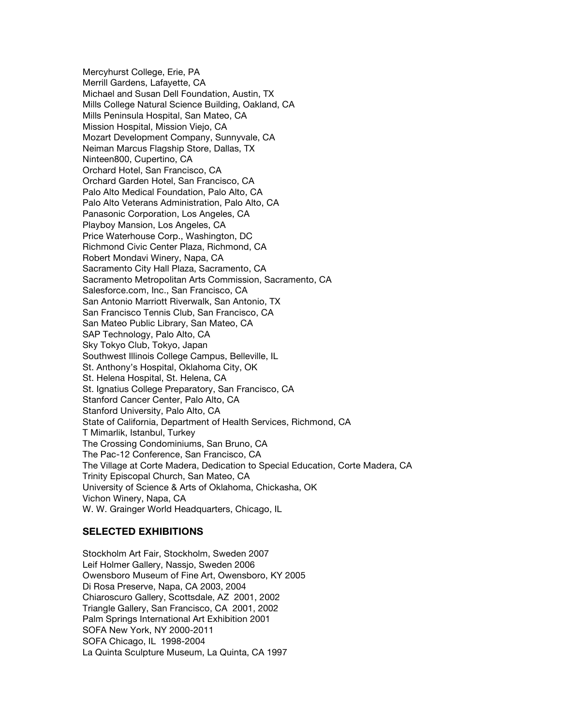Mercyhurst College, Erie, PA Merrill Gardens, Lafayette, CA Michael and Susan Dell Foundation, Austin, TX Mills College Natural Science Building, Oakland, CA Mills Peninsula Hospital, San Mateo, CA Mission Hospital, Mission Viejo, CA Mozart Development Company, Sunnyvale, CA Neiman Marcus Flagship Store, Dallas, TX Ninteen800, Cupertino, CA Orchard Hotel, San Francisco, CA Orchard Garden Hotel, San Francisco, CA Palo Alto Medical Foundation, Palo Alto, CA Palo Alto Veterans Administration, Palo Alto, CA Panasonic Corporation, Los Angeles, CA Playboy Mansion, Los Angeles, CA Price Waterhouse Corp., Washington, DC Richmond Civic Center Plaza, Richmond, CA Robert Mondavi Winery, Napa, CA Sacramento City Hall Plaza, Sacramento, CA Sacramento Metropolitan Arts Commission, Sacramento, CA Salesforce.com, Inc., San Francisco, CA San Antonio Marriott Riverwalk, San Antonio, TX San Francisco Tennis Club, San Francisco, CA San Mateo Public Library, San Mateo, CA SAP Technology, Palo Alto, CA Sky Tokyo Club, Tokyo, Japan Southwest Illinois College Campus, Belleville, IL St. Anthony's Hospital, Oklahoma City, OK St. Helena Hospital, St. Helena, CA St. Ignatius College Preparatory, San Francisco, CA Stanford Cancer Center, Palo Alto, CA Stanford University, Palo Alto, CA State of California, Department of Health Services, Richmond, CA T Mimarlik, Istanbul, Turkey The Crossing Condominiums, San Bruno, CA The Pac-12 Conference, San Francisco, CA The Village at Corte Madera, Dedication to Special Education, Corte Madera, CA Trinity Episcopal Church, San Mateo, CA University of Science & Arts of Oklahoma, Chickasha, OK Vichon Winery, Napa, CA W. W. Grainger World Headquarters, Chicago, IL

## **SELECTED EXHIBITIONS**

Stockholm Art Fair, Stockholm, Sweden 2007 Leif Holmer Gallery, Nassjo, Sweden 2006 Owensboro Museum of Fine Art, Owensboro, KY 2005 Di Rosa Preserve, Napa, CA 2003, 2004 Chiaroscuro Gallery, Scottsdale, AZ 2001, 2002 Triangle Gallery, San Francisco, CA 2001, 2002 Palm Springs International Art Exhibition 2001 SOFA New York, NY 2000-2011 SOFA Chicago, IL 1998-2004 La Quinta Sculpture Museum, La Quinta, CA 1997